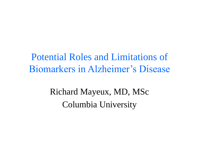Potential Roles and Limitations of Biomarkers in Alzheimer's Disease

> Richard Mayeux, MD, MSc Columbia University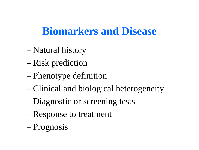## **Biomarkers and Disease**

- Natural history
- Risk prediction
- Phenotype definition
- Clinical and biological heterogeneity
- Diagnostic or screening tests
- Response to treatment
- Prognosis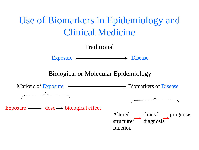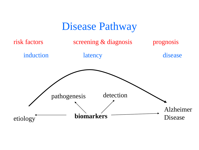#### Disease Pathway

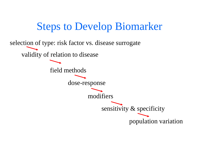Steps to Develop Biomarker selection of type: risk factor vs. disease surrogate validity of relation to disease field methods dose-response modifiers sensitivity & specificity population variation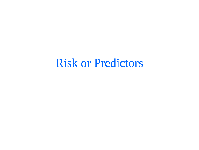## Risk or Predictors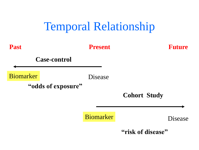

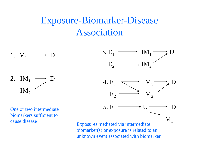#### Exposure-Biomarker-Disease Association

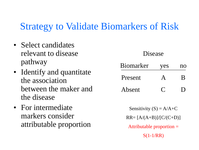#### Strategy to Validate Biomarkers of Risk

- Select candidates relevant to disease pathway
- Identify and quantitate the association between the maker and the disease
- For intermediate markers consider attributable proportion

#### Disease

| <b>Biomarker</b> | yes | no     |
|------------------|-----|--------|
| Present          |     | R      |
| Absent           |     | $\Box$ |

Sensitivity  $(S) = A/A+C$ RR= [A/(A+B)]/[C/(C+D)]

Attributable proportion =

 $S(1-1/RR)$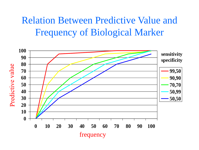#### Relation Between Predictive Value and Frequency of Biological Marker

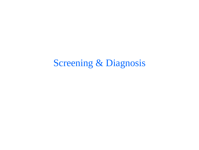### Screening & Diagnosis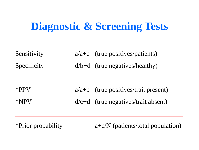## **Diagnostic & Screening Tests**

- Sensitivity  $=$   $a/a+c$  (true positives/patients)
- Specificity  $=$  d/b+d (true negatives/healthy)

- \*PPV  $=$   $a/a+b$  (true positives/trait present)
- \*NPV  $=$  d/c+d (true negatives/trait absent)

\*Prior probability  $=$   $a + c/N$  (patients/total population)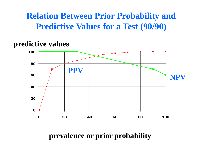#### **Relation Between Prior Probability and Predictive Values for a Test (90/90)**

#### **predictive values**



#### **prevalence or prior probability**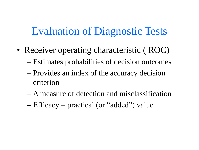## Evaluation of Diagnostic Tests

- Receiver operating characteristic (ROC)
	- Estimates probabilities of decision outcomes
	- Provides an index of the accuracy decision criterion
	- A measure of detection and misclassification
	- Efficacy = practical (or "added") value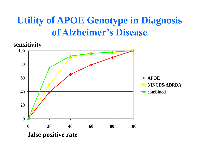### **Utility of APOE Genotype in Diagnosis of Alzheimer's Disease**

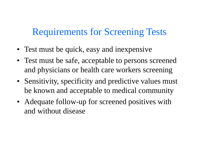#### Requirements for Screening Tests

- Test must be quick, easy and inexpensive
- Test must be safe, acceptable to persons screened and physicians or health care workers screening
- Sensitivity, specificity and predictive values must be known and acceptable to medical community
- Adequate follow-up for screened positives with and without disease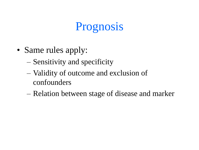# Prognosis

- Same rules apply:
	- Sensitivity and specificity
	- Validity of outcome and exclusion of confounders
	- Relation between stage of disease and marker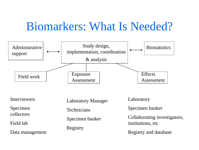# Biomarkers: What Is Needed?

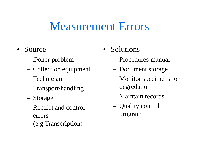## Measurement Errors

- Source
	- Donor problem
	- Collection equipment
	- Technician
	- Transport/handling
	- Storage
	- Receipt and control errors
		- (e.g.Transcription)
- Solutions
	- Procedures manual
	- Document storage
	- Monitor specimens for degredation
	- Maintain records
	- Quality control program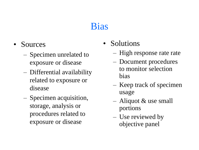### Bias

- Sources
	- Specimen unrelated to exposure or disease
	- Differential availability related to exposure or disease
	- Specimen acquisition, storage, analysis or procedures related to exposure or disease
- Solutions
	- High response rate rate
	- Document procedures to monitor selection bias
	- Keep track of specimen usage
	- Aliquot & use small portions
	- Use reviewed by objective panel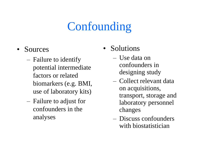# **Confounding**

- Sources
	- Failure to identify potential intermediate factors or related biomarkers (e.g. BMI, use of laboratory kits)
	- Failure to adjust for confounders in the analyses
- Solutions
	- Use data on confounders in designing study
	- Collect relevant data on acquisitions, transport, storage and laboratory personnel changes
	- Discuss confounders with biostatistician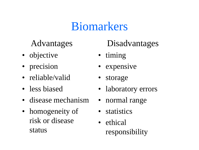# Biomarkers

#### Advantages

- objective
- precision
- reliable/valid
- less biased
- disease mechanism
- homogeneity of risk or disease status

#### Disadvantages

- timing
- expensive
- storage
- laboratory errors
- normal range
- statistics
- ethical responsibility